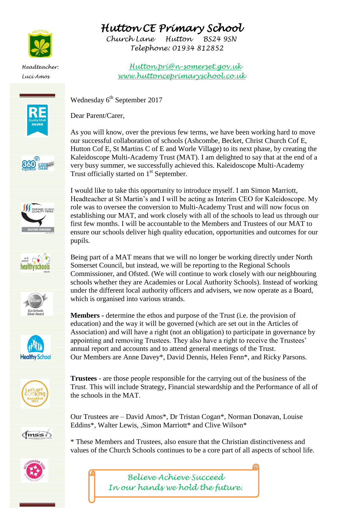















## *Hutton CE Primary School*

*Church Lane Hutton BS24 9SN Telephone: 01934 812852* 

*Headteacher: Hutton.pri@n-somerset.gov.uk Luci Amos www.huttonceprimaryschool.co.uk*

Wednesday  $6<sup>th</sup>$  September 2017

Dear Parent/Carer,

As you will know, over the previous few terms, we have been working hard to move our successful collaboration of schools (Ashcombe, Becket, Christ Church Cof E, Hutton Cof E, St Martins C of E and Worle Village) to its next phase, by creating the Kaleidoscope Multi-Academy Trust (MAT). I am delighted to say that at the end of a very busy summer, we successfully achieved this. Kaleidoscope Multi-Academy Trust officially started on 1<sup>st</sup> September.

I would like to take this opportunity to introduce myself. I am Simon Marriott, Headteacher at St Martin's and I will be acting as Interim CEO for Kaleidoscope. My role was to oversee the conversion to Multi-Academy Trust and will now focus on establishing our MAT, and work closely with all of the schools to lead us through our first few months. I will be accountable to the Members and Trustees of our MAT to ensure our schools deliver high quality education, opportunities and outcomes for our pupils.

Being part of a MAT means that we will no longer be working directly under North Somerset Council, but instead, we will be reporting to the Regional Schools Commissioner, and Ofsted. (We will continue to work closely with our neighbouring schools whether they are Academies or Local Authority Schools). Instead of working under the different local authority officers and advisers, we now operate as a Board, which is organised into various strands.

**Members -** determine the ethos and purpose of the Trust (i.e. the provision of education) and the way it will be governed (which are set out in the Articles of Association) and will have a right (not an obligation) to participate in governance by appointing and removing Trustees. They also have a right to receive the Trustees' annual report and accounts and to attend general meetings of the Trust. Our Members are Anne Davey\*, David Dennis, Helen Fenn\*, and Ricky Parsons.

**Trustees** - are those people responsible for the carrying out of the business of the Trust. This will include Strategy, Financial stewardship and the Performance of all of the schools in the MAT.

 $f$ <sub>msis</sub> $\sqrt$ 

Our Trustees are – David Amos\*, Dr Tristan Cogan\*, Norman Donavan, Louise Eddins<sup>\*</sup>, Walter Lewis, ,Simon Marriott<sup>\*</sup> and Clive Wilson<sup>\*</sup>

\* These Members and Trustees, also ensure that the Christian distinctiveness and values of the Church Schools continues to be a core part of all aspects of school life.



*Believe Achieve Succeed In our hands we hold the future.*